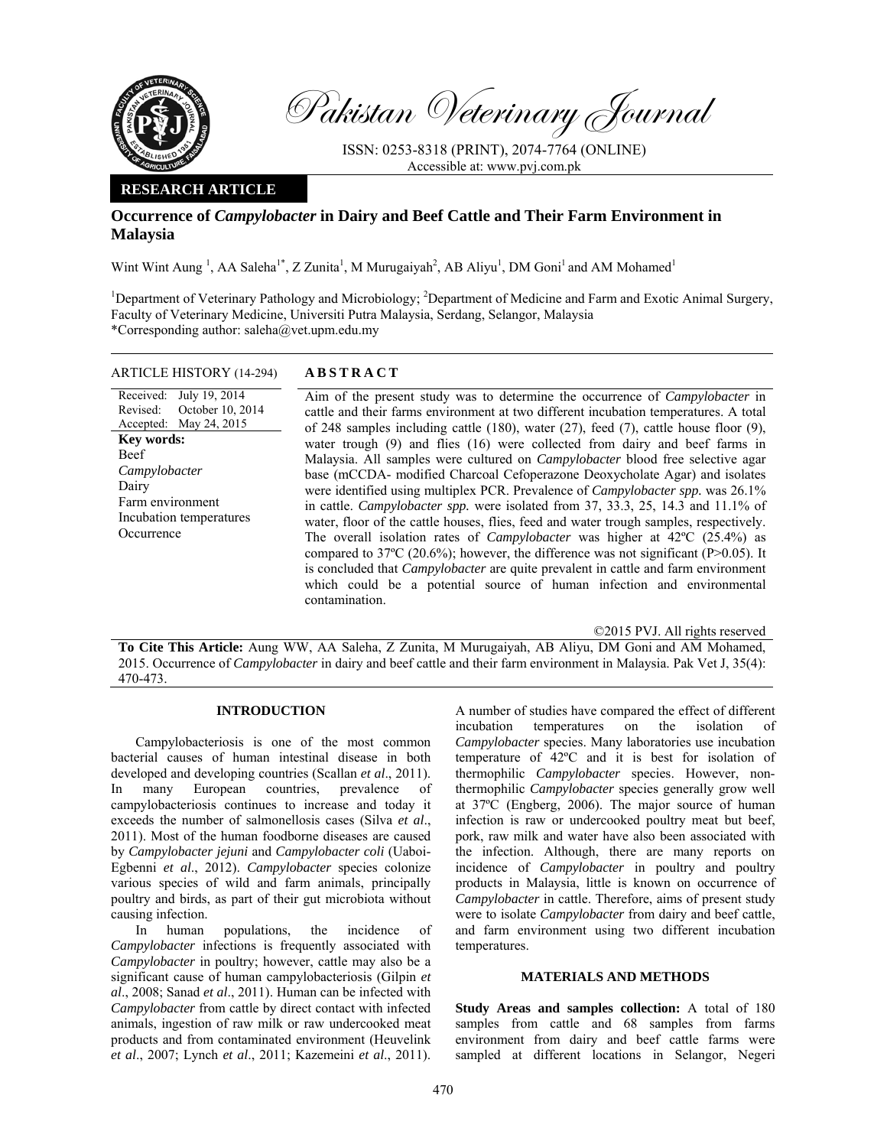

Pakistan Veterinary Journal

ISSN: 0253-8318 (PRINT), 2074-7764 (ONLINE) Accessible at: www.pvj.com.pk

## **RESEARCH ARTICLE**

# **Occurrence of** *Campylobacter* **in Dairy and Beef Cattle and Their Farm Environment in Malaysia**

Wint Wint Aung<sup>1</sup>, AA Saleha<sup>1\*</sup>, Z Zunita<sup>1</sup>, M Murugaiyah<sup>2</sup>, AB Aliyu<sup>1</sup>, DM Goni<sup>1</sup> and AM Mohamed<sup>1</sup>

<sup>1</sup>Department of Veterinary Pathology and Microbiology; <sup>2</sup>Department of Medicine and Farm and Exotic Animal Surgery, Faculty of Veterinary Medicine, Universiti Putra Malaysia, Serdang, Selangor, Malaysia \*Corresponding author: saleha@vet.upm.edu.my

### ARTICLE HISTORY (14-294) **ABSTRACT**

Received: Revised: Accepted: May 24, 2015 July 19, 2014 October 10, 2014 **Key words:**  Beef *Campylobacter*  Dairy Farm environment Incubation temperatures **Occurrence** 

 Aim of the present study was to determine the occurrence of *Campylobacter* in cattle and their farms environment at two different incubation temperatures. A total of 248 samples including cattle (180), water (27), feed (7), cattle house floor (9), water trough (9) and flies (16) were collected from dairy and beef farms in Malaysia. All samples were cultured on *Campylobacter* blood free selective agar base (mCCDA- modified Charcoal Cefoperazone Deoxycholate Agar) and isolates were identified using multiplex PCR. Prevalence of *Campylobacter spp.* was 26.1% in cattle. *Campylobacter spp.* were isolated from 37, 33.3, 25, 14.3 and 11.1% of water, floor of the cattle houses, flies, feed and water trough samples, respectively. The overall isolation rates of *Campylobacter* was higher at 42ºC (25.4%) as compared to 37ºC (20.6%); however, the difference was not significant (P>0.05). It is concluded that *Campylobacter* are quite prevalent in cattle and farm environment which could be a potential source of human infection and environmental contamination.

©2015 PVJ. All rights reserved

**To Cite This Article:** Aung WW, AA Saleha, Z Zunita, M Murugaiyah, AB Aliyu, DM Goni and AM Mohamed, 2015. Occurrence of *Campylobacter* in dairy and beef cattle and their farm environment in Malaysia. Pak Vet J, 35(4): 470-473.

## **INTRODUCTION**

Campylobacteriosis is one of the most common bacterial causes of human intestinal disease in both developed and developing countries (Scallan *et al*., 2011). In many European countries, prevalence of campylobacteriosis continues to increase and today it exceeds the number of salmonellosis cases (Silva *et al*., 2011). Most of the human foodborne diseases are caused by *Campylobacter jejuni* and *Campylobacter coli* (Uaboi-Egbenni *et al*., 2012). *Campylobacter* species colonize various species of wild and farm animals, principally poultry and birds, as part of their gut microbiota without causing infection.

In human populations, the incidence of *Campylobacter* infections is frequently associated with *Campylobacter* in poultry; however, cattle may also be a significant cause of human campylobacteriosis (Gilpin *et al*., 2008; Sanad *et al*., 2011). Human can be infected with *Campylobacter* from cattle by direct contact with infected animals, ingestion of raw milk or raw undercooked meat products and from contaminated environment (Heuvelink *et al*., 2007; Lynch *et al*., 2011; Kazemeini *et al*., 2011).

A number of studies have compared the effect of different incubation temperatures on the isolation of *Campylobacter* species. Many laboratories use incubation temperature of 42ºC and it is best for isolation of thermophilic *Campylobacter* species. However, nonthermophilic *Campylobacter* species generally grow well at 37ºC (Engberg, 2006). The major source of human infection is raw or undercooked poultry meat but beef, pork, raw milk and water have also been associated with the infection. Although, there are many reports on incidence of *Campylobacter* in poultry and poultry products in Malaysia, little is known on occurrence of *Campylobacter* in cattle. Therefore, aims of present study were to isolate *Campylobacter* from dairy and beef cattle, and farm environment using two different incubation temperatures.

### **MATERIALS AND METHODS**

**Study Areas and samples collection:** A total of 180 samples from cattle and 68 samples from farms environment from dairy and beef cattle farms were sampled at different locations in Selangor, Negeri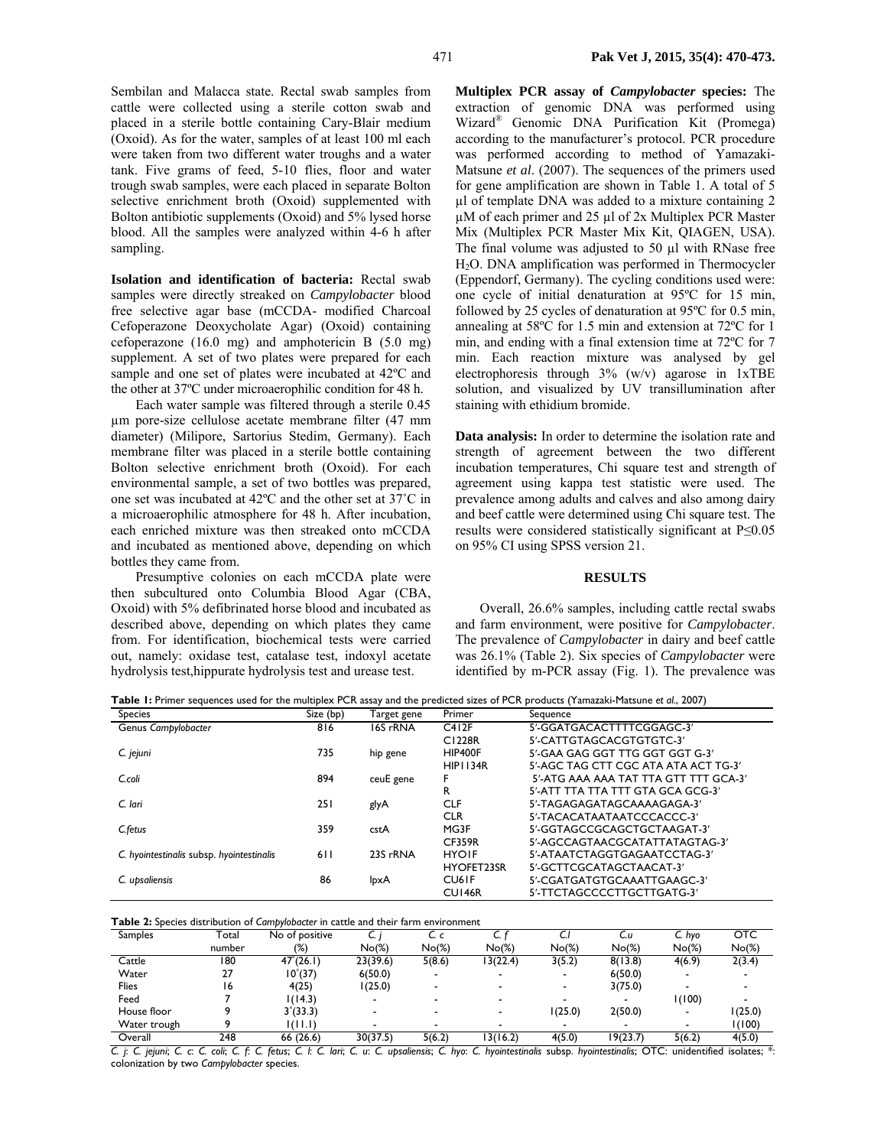Sembilan and Malacca state. Rectal swab samples from cattle were collected using a sterile cotton swab and placed in a sterile bottle containing Cary-Blair medium (Oxoid). As for the water, samples of at least 100 ml each were taken from two different water troughs and a water tank. Five grams of feed, 5-10 flies, floor and water trough swab samples, were each placed in separate Bolton selective enrichment broth (Oxoid) supplemented with Bolton antibiotic supplements (Oxoid) and 5% lysed horse blood. All the samples were analyzed within 4-6 h after sampling.

**Isolation and identification of bacteria:** Rectal swab samples were directly streaked on *Campylobacter* blood free selective agar base (mCCDA- modified Charcoal Cefoperazone Deoxycholate Agar) (Oxoid) containing cefoperazone (16.0 mg) and amphotericin B (5.0 mg) supplement. A set of two plates were prepared for each sample and one set of plates were incubated at 42ºC and the other at 37ºC under microaerophilic condition for 48 h.

Each water sample was filtered through a sterile 0.45 µm pore-size cellulose acetate membrane filter (47 mm diameter) (Milipore, Sartorius Stedim, Germany). Each membrane filter was placed in a sterile bottle containing Bolton selective enrichment broth (Oxoid). For each environmental sample, a set of two bottles was prepared, one set was incubated at 42ºC and the other set at 37˚C in a microaerophilic atmosphere for 48 h. After incubation, each enriched mixture was then streaked onto mCCDA and incubated as mentioned above, depending on which bottles they came from.

Presumptive colonies on each mCCDA plate were then subcultured onto Columbia Blood Agar (CBA, Oxoid) with 5% defibrinated horse blood and incubated as described above, depending on which plates they came from. For identification, biochemical tests were carried out, namely: oxidase test, catalase test, indoxyl acetate hydrolysis test,hippurate hydrolysis test and urease test.

**Multiplex PCR assay of** *Campylobacter* **species:** The extraction of genomic DNA was performed using Wizard® Genomic DNA Purification Kit (Promega) according to the manufacturer's protocol. PCR procedure was performed according to method of Yamazaki-Matsune *et al*. (2007). The sequences of the primers used for gene amplification are shown in Table 1. A total of 5 µl of template DNA was added to a mixture containing 2 µM of each primer and 25 µl of 2x Multiplex PCR Master Mix (Multiplex PCR Master Mix Kit, QIAGEN, USA). The final volume was adjusted to 50 µl with RNase free H2O. DNA amplification was performed in Thermocycler (Eppendorf, Germany). The cycling conditions used were: one cycle of initial denaturation at 95ºC for 15 min, followed by 25 cycles of denaturation at 95ºC for 0.5 min, annealing at 58ºC for 1.5 min and extension at 72ºC for 1 min, and ending with a final extension time at 72ºC for 7 min. Each reaction mixture was analysed by gel electrophoresis through 3% (w/v) agarose in 1xTBE solution, and visualized by UV transillumination after staining with ethidium bromide.

**Data analysis:** In order to determine the isolation rate and strength of agreement between the two different incubation temperatures, Chi square test and strength of agreement using kappa test statistic were used. The prevalence among adults and calves and also among dairy and beef cattle were determined using Chi square test. The results were considered statistically significant at P≤0.05 on 95% CI using SPSS version 21.

#### **RESULTS**

Overall, 26.6% samples, including cattle rectal swabs and farm environment, were positive for *Campylobacter*. The prevalence of *Campylobacter* in dairy and beef cattle was 26.1% (Table 2). Six species of *Campylobacter* were identified by m-PCR assay (Fig. 1). The prevalence was

**Table 1:** Primer sequences used for the multiplex PCR assay and the predicted sizes of PCR products (Yamazaki-Matsune *et al.*, 2007)

| <b>Species</b>                            | Size (bp) | Target gene | Primer             | Sequence                              |
|-------------------------------------------|-----------|-------------|--------------------|---------------------------------------|
| Genus Campylobacter                       | 816       | 16S rRNA    | C412F              | 5'-GGATGACACTTTTCGGAGC-3'             |
|                                           |           |             | C1228R             | 5'-CATTGTAGCACGTGTGTC-3'              |
| C. jejuni                                 | 735       | hip gene    | HIP400F            | 5'-GAA GAG GGT TTG GGT GGT G-3'       |
|                                           |           |             | <b>HIP1134R</b>    | 5'-AGC TAG CTT CGC ATA ATA ACT TG-3'  |
| C.coli                                    | 894       | ceuE gene   |                    | 5'-ATG AAA AAA TAT TTA GTT TTT GCA-3' |
|                                           |           |             | R                  | 5'-ATT TTA TTA TTT GTA GCA GCG-3'     |
| C. lari                                   | 251       | glyA        | <b>CLF</b>         | 5'-TAGAGAGATAGCAAAAGAGA-3'            |
|                                           |           |             | <b>CLR</b>         | 5'-TACACATAATAATCCCACCC-3'            |
| C.fetus                                   | 359       | cstA        | MG3F               | 5'-GGTAGCCGCAGCTGCTAAGAT-3'           |
|                                           |           |             | <b>CF359R</b>      | 5'-AGCCAGTAACGCATATTATAGTAG-3'        |
| C. hyointestinalis subsp. hyointestinalis | 611       | 23S rRNA    | <b>HYOIF</b>       | 5'-ATAATCTAGGTGAGAATCCTAG-3'          |
|                                           |           |             | <b>HYOFET23SR</b>  | 5'-GCTTCGCATAGCTAACAT-3'              |
| C. upsaliensis                            | 86        | lpxA        | CU <sub>6</sub> IF | 5'-CGATGATGTGCAAATTGAAGC-3'           |
|                                           |           |             | <b>CU146R</b>      | 5'-TTCTAGCCCCTTGCTTGATG-3'            |

**Table 2:** Species distribution of *Campylobacter* in cattle and their farm environment

| Samples      | Total  | No of positive                                                                                                    | ∽        | C. c                     |          | ◡        | C.u      | C. hvo   | OTC      |
|--------------|--------|-------------------------------------------------------------------------------------------------------------------|----------|--------------------------|----------|----------|----------|----------|----------|
|              | number | (%)                                                                                                               | $No(\%)$ | $No(\%)$                 | $No(\%)$ | $No(\%)$ | $No(\%)$ | $No(\%)$ | $No(\%)$ |
| Cattle       | 180    | $47^{\circ}(26.1)$                                                                                                | 23(39.6) | 5(8.6)                   | 13(22.4) | 3(5.2)   | 8(13.8)  | 4(6.9)   | 2(3.4)   |
| Water        | 27     | $10^{\circ}(37)$                                                                                                  | 6(50.0)  | $\overline{\phantom{a}}$ |          |          | 6(50.0)  |          |          |
| <b>Flies</b> | 16     | 4(25)                                                                                                             | 1(25.0)  |                          |          |          | 3(75.0)  |          |          |
| Feed         |        | 1(14.3)                                                                                                           |          |                          |          |          |          | I (100)  |          |
| House floor  |        | $3*(33.3)$                                                                                                        |          |                          |          | 1(25.0)  | 2(50.0)  |          | 1(25.0)  |
| Water trough |        | $\left(\left(\left[\begin{array}{c} 1 & 1 \end{array}\right], \left[\begin{array}{c} 1 \end{array}\right]\right)$ |          |                          |          |          |          |          | 1(100)   |
| Overall      | 248    | 66 (26.6)                                                                                                         | 30(37.5) | 5(6.2)                   | 13(16.2) | 4(5.0)   | 19(23.7) | 5(6.2)   | 4(5.0)   |

C. j: C. jejuni; C. c. C. coli; C. f: C. fetus; C. l: C. lari; C. u: C. upsaliensis; C. hyo: C. hyointestinalis subsp. hyointestinalis; OTC: unidentified isolates; \*: colonization by two *Campylobacter* species.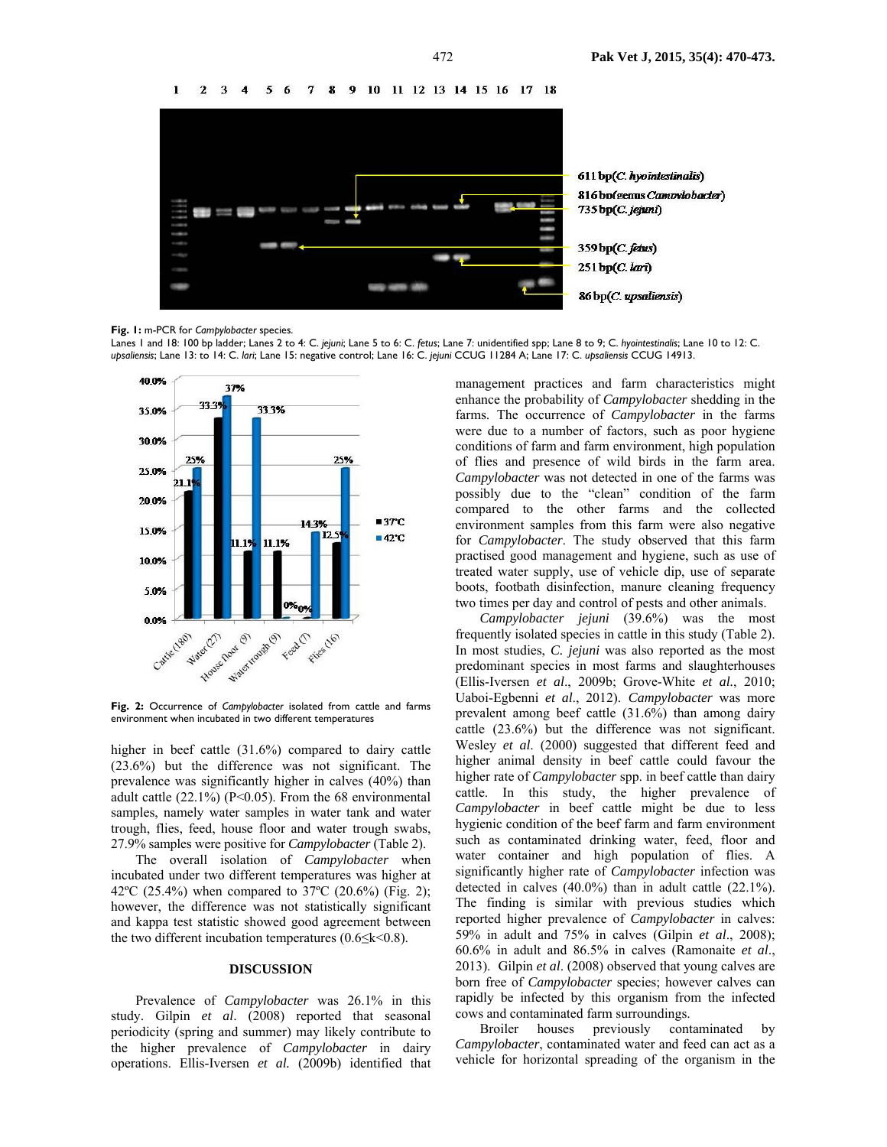5 6 7 8 9 10 11 12 13 14 15 16 17 18  $\mathbf{I}$  $2, 3, 4$ 



**Fig. 1:** m-PCR for *Campylobacter* species.

Lanes 1 and 18: 100 bp ladder; Lanes 2 to 4: C. *jejuni*; Lane 5 to 6: C. *fetus*; Lane 7: unidentified spp; Lane 8 to 9; C. *hyointestinalis*; Lane 10 to 12: C. *upsaliensis*; Lane 13: to 14: C. *lari*; Lane 15: negative control; Lane 16: C. *jejuni* CCUG 11284 A; Lane 17: C. *upsaliensis* CCUG 14913.



**Fig. 2:** Occurrence of *Campylobacter* isolated from cattle and farms environment when incubated in two different temperatures

higher in beef cattle (31.6%) compared to dairy cattle (23.6%) but the difference was not significant. The prevalence was significantly higher in calves (40%) than adult cattle (22.1%) (P<0.05). From the 68 environmental samples, namely water samples in water tank and water trough, flies, feed, house floor and water trough swabs, 27.9% samples were positive for *Campylobacter* (Table 2).

The overall isolation of *Campylobacter* when incubated under two different temperatures was higher at 42ºC (25.4%) when compared to 37ºC (20.6%) (Fig. 2); however, the difference was not statistically significant and kappa test statistic showed good agreement between the two different incubation temperatures  $(0.6 \le k \le 0.8)$ .

#### **DISCUSSION**

Prevalence of *Campylobacter* was 26.1% in this study. Gilpin *et al*. (2008) reported that seasonal periodicity (spring and summer) may likely contribute to the higher prevalence of *Campylobacter* in dairy operations. Ellis-Iversen *et al.* (2009b) identified that management practices and farm characteristics might enhance the probability of *Campylobacter* shedding in the farms. The occurrence of *Campylobacter* in the farms were due to a number of factors, such as poor hygiene conditions of farm and farm environment, high population of flies and presence of wild birds in the farm area. *Campylobacter* was not detected in one of the farms was possibly due to the "clean" condition of the farm compared to the other farms and the collected environment samples from this farm were also negative for *Campylobacter*. The study observed that this farm practised good management and hygiene, such as use of treated water supply, use of vehicle dip, use of separate boots, footbath disinfection, manure cleaning frequency two times per day and control of pests and other animals.

*Campylobacter jejuni* (39.6%) was the most frequently isolated species in cattle in this study (Table 2). In most studies, *C. jejuni* was also reported as the most predominant species in most farms and slaughterhouses (Ellis-Iversen *et al*., 2009b; Grove-White *et al.*, 2010; Uaboi-Egbenni *et al*., 2012). *Campylobacter* was more prevalent among beef cattle (31.6%) than among dairy cattle (23.6%) but the difference was not significant. Wesley *et al*. (2000) suggested that different feed and higher animal density in beef cattle could favour the higher rate of *Campylobacter* spp. in beef cattle than dairy cattle. In this study, the higher prevalence of *Campylobacter* in beef cattle might be due to less hygienic condition of the beef farm and farm environment such as contaminated drinking water, feed, floor and water container and high population of flies. A significantly higher rate of *Campylobacter* infection was detected in calves (40.0%) than in adult cattle (22.1%). The finding is similar with previous studies which reported higher prevalence of *Campylobacter* in calves: 59% in adult and 75% in calves (Gilpin *et al*., 2008); 60.6% in adult and 86.5% in calves (Ramonaite *et al*., 2013). Gilpin *et al*. (2008) observed that young calves are born free of *Campylobacter* species; however calves can rapidly be infected by this organism from the infected cows and contaminated farm surroundings.

Broiler houses previously contaminated by *Campylobacter*, contaminated water and feed can act as a vehicle for horizontal spreading of the organism in the